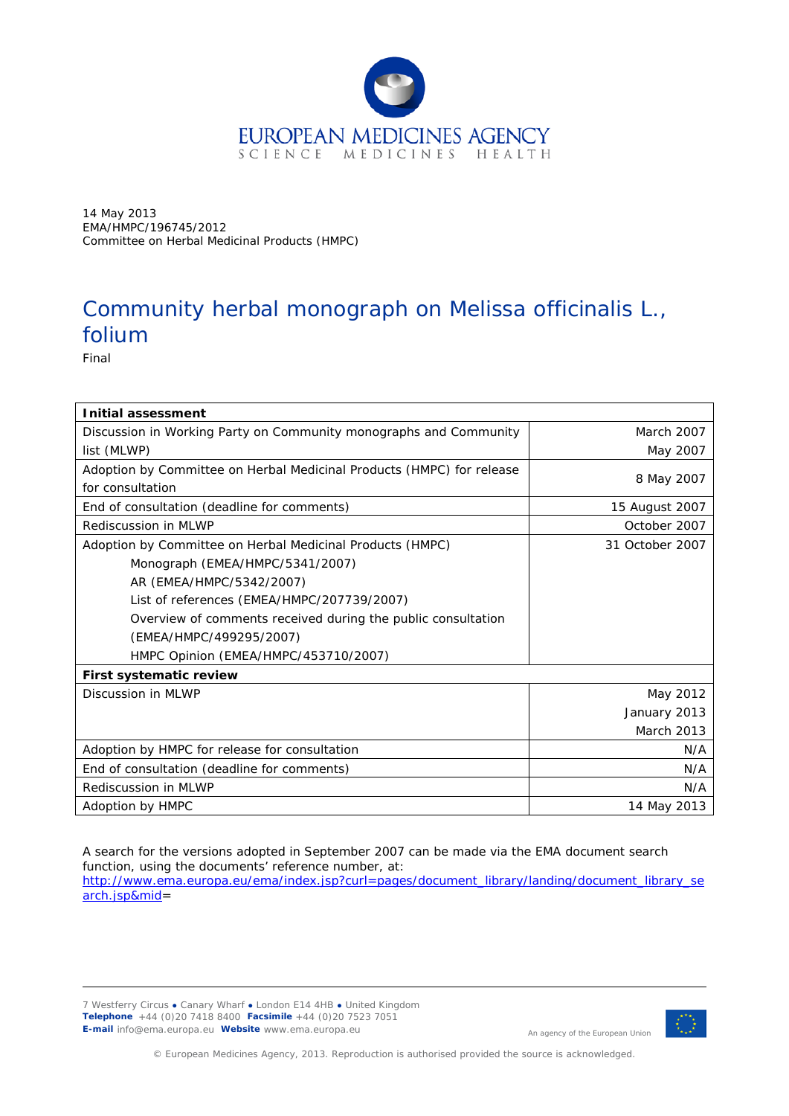

14 May 2013 EMA/HMPC/196745/2012 Committee on Herbal Medicinal Products (HMPC)

# Community herbal monograph on *Melissa officinalis* L., folium

Final

| <b>Initial assessment</b>                                                                 |                   |
|-------------------------------------------------------------------------------------------|-------------------|
| Discussion in Working Party on Community monographs and Community                         | <b>March 2007</b> |
| list (MLWP)                                                                               | May 2007          |
| Adoption by Committee on Herbal Medicinal Products (HMPC) for release<br>for consultation | 8 May 2007        |
| End of consultation (deadline for comments)                                               | 15 August 2007    |
| Rediscussion in MLWP                                                                      | October 2007      |
| Adoption by Committee on Herbal Medicinal Products (HMPC)                                 | 31 October 2007   |
| Monograph (EMEA/HMPC/5341/2007)                                                           |                   |
| AR (EMEA/HMPC/5342/2007)                                                                  |                   |
| List of references (EMEA/HMPC/207739/2007)                                                |                   |
| Overview of comments received during the public consultation                              |                   |
| (EMEA/HMPC/499295/2007)                                                                   |                   |
| HMPC Opinion (EMEA/HMPC/453710/2007)                                                      |                   |
| First systematic review                                                                   |                   |
| Discussion in MLWP                                                                        | May 2012          |
|                                                                                           | January 2013      |
|                                                                                           | <b>March 2013</b> |
| Adoption by HMPC for release for consultation                                             | N/A               |
| End of consultation (deadline for comments)                                               | N/A               |
| Rediscussion in MLWP                                                                      | N/A               |
| Adoption by HMPC                                                                          | 14 May 2013       |

A search for the versions adopted in September 2007 can be made via the EMA document search function, using the documents' reference number, at: [http://www.ema.europa.eu/ema/index.jsp?curl=pages/document\\_library/landing/document\\_library\\_se](http://www.ema.europa.eu/ema/index.jsp?curl=pages/document_library/landing/document_library_search.jsp&mid)

[arch.jsp&mid=](http://www.ema.europa.eu/ema/index.jsp?curl=pages/document_library/landing/document_library_search.jsp&mid)

7 Westferry Circus **●** Canary Wharf **●** London E14 4HB **●** United Kingdom **Telephone** +44 (0)20 7418 8400 **Facsimile** +44 (0)20 7523 7051 **E-mail** info@ema.europa.eu **Website** www.ema.europa.eu



An agency of the European Union

© European Medicines Agency, 2013. Reproduction is authorised provided the source is acknowledged.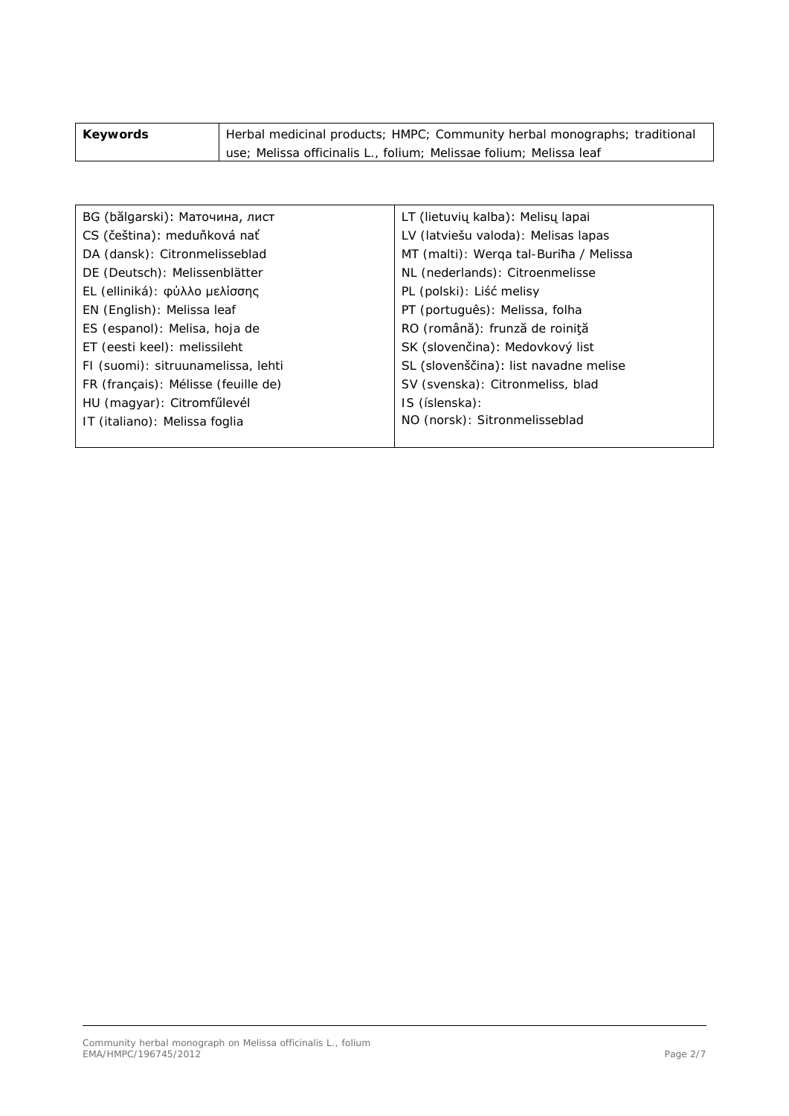| Keywords | Herbal medicinal products; HMPC; Community herbal monographs; traditional |
|----------|---------------------------------------------------------------------------|
|          | use; Melissa officinalis L., folium; Melissae folium; Melissa leaf        |

| BG (bălgarski): Маточина, лист      | LT (lietuvių kalba): Melisų lapai      |
|-------------------------------------|----------------------------------------|
| CS (čeština): meduňková nať         | LV (latviešu valoda): Melisas lapas    |
| DA (dansk): Citronmelisseblad       | MT (malti): Werga tal-Buriha / Melissa |
| DE (Deutsch): Melissenblätter       | NL (nederlands): Citroenmelisse        |
| EL (elliniká): φύλλο μελίσσης       | PL (polski): Liść melisy               |
| EN (English): Melissa leaf          | PT (português): Melissa, folha         |
| ES (espanol): Melisa, hoja de       | RO (română): frunză de roiniță         |
| ET (eesti keel): melissileht        | SK (slovenčina): Medovkový list        |
| FI (suomi): sitruunamelissa, lehti  | SL (slovenščina): list navadne melise  |
| FR (français): Mélisse (feuille de) | SV (svenska): Citronmeliss, blad       |
| HU (magyar): Citromfűlevél          | IS (íslenska):                         |
| IT (italiano): Melissa foglia       | NO (norsk): Sitronmelisseblad          |
|                                     |                                        |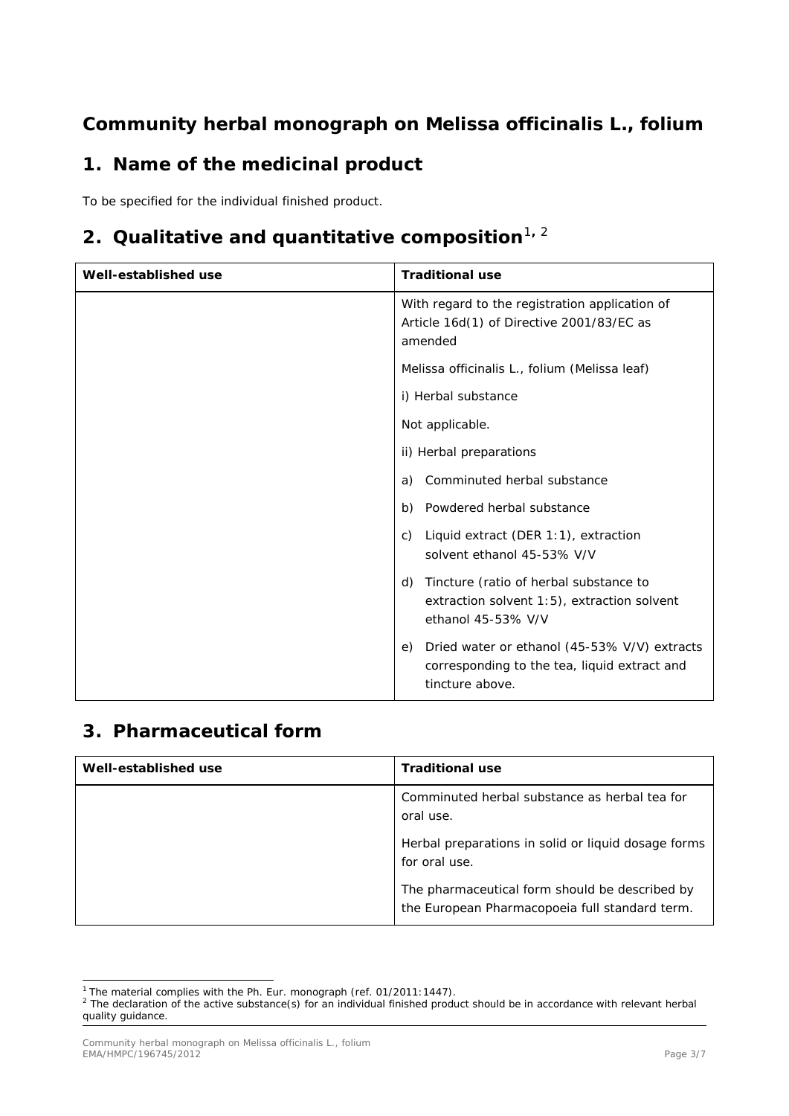## **Community herbal monograph on** *Melissa officinalis* **L., folium**

## **1. Name of the medicinal product**

To be specified for the individual finished product.

# **[2](#page-2-1). Qualitative and quantitative composition**<sup>[1](#page-2-0), 2</sup>

| Well-established use | <b>Traditional use</b>                                                                                                |
|----------------------|-----------------------------------------------------------------------------------------------------------------------|
|                      | With regard to the registration application of<br>Article 16d(1) of Directive 2001/83/EC as<br>amended                |
|                      | Melissa officinalis L., folium (Melissa leaf)                                                                         |
|                      | i) Herbal substance                                                                                                   |
|                      | Not applicable.                                                                                                       |
|                      | ii) Herbal preparations                                                                                               |
|                      | Comminuted herbal substance<br>a)                                                                                     |
|                      | Powdered herbal substance<br>b)                                                                                       |
|                      | Liquid extract (DER 1:1), extraction<br>C)<br>solvent ethanol 45-53% V/V                                              |
|                      | Tincture (ratio of herbal substance to<br>d)<br>extraction solvent 1:5), extraction solvent<br>ethanol 45-53% V/V     |
|                      | Dried water or ethanol (45-53% V/V) extracts<br>e)<br>corresponding to the tea, liquid extract and<br>tincture above. |

### **3. Pharmaceutical form**

| Well-established use | <b>Traditional use</b>                                                                           |
|----------------------|--------------------------------------------------------------------------------------------------|
|                      | Comminuted herbal substance as herbal tea for<br>oral use.                                       |
|                      | Herbal preparations in solid or liquid dosage forms<br>for oral use.                             |
|                      | The pharmaceutical form should be described by<br>the European Pharmacopoeia full standard term. |

<span id="page-2-0"></span><sup>&</sup>lt;sup>1</sup> The material complies with the Ph. Eur. monograph (ref. 01/2011:1447). ł

<span id="page-2-1"></span> $<sup>2</sup>$  The declaration of the active substance(s) for an individual finished product should be in accordance with relevant herbal</sup> quality guidance.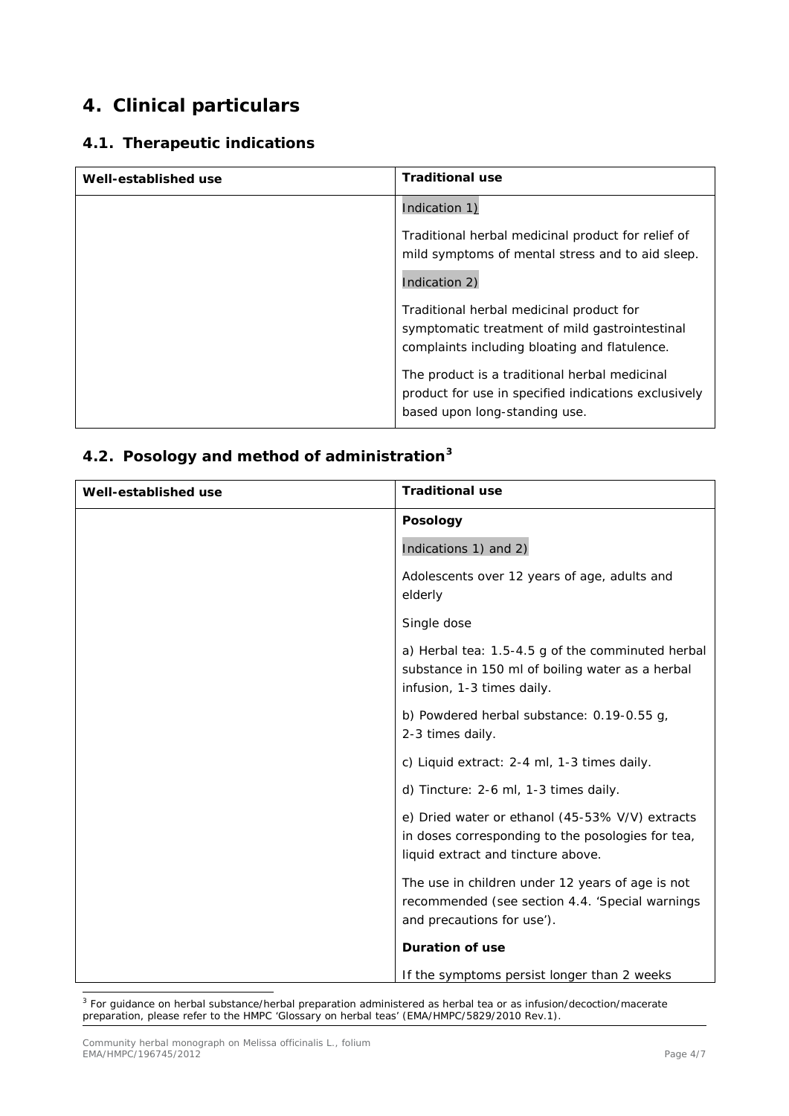## **4. Clinical particulars**

#### *4.1. Therapeutic indications*

| Well-established use | <b>Traditional use</b>                                                                                                                      |
|----------------------|---------------------------------------------------------------------------------------------------------------------------------------------|
|                      | Indication 1)                                                                                                                               |
|                      | Traditional herbal medicinal product for relief of<br>mild symptoms of mental stress and to aid sleep.                                      |
|                      | Indication 2)                                                                                                                               |
|                      | Traditional herbal medicinal product for<br>symptomatic treatment of mild gastrointestinal<br>complaints including bloating and flatulence. |
|                      | The product is a traditional herbal medicinal<br>product for use in specified indications exclusively<br>based upon long-standing use.      |

### *4.2. Posology and method of administration[3](#page-3-0)*

| Well-established use | <b>Traditional use</b>                                                                                                                     |
|----------------------|--------------------------------------------------------------------------------------------------------------------------------------------|
|                      | <b>Posology</b>                                                                                                                            |
|                      | Indications 1) and 2)                                                                                                                      |
|                      | Adolescents over 12 years of age, adults and<br>elderly                                                                                    |
|                      | Single dose                                                                                                                                |
|                      | a) Herbal tea: 1.5-4.5 g of the comminuted herbal<br>substance in 150 ml of boiling water as a herbal<br>infusion, 1-3 times daily.        |
|                      | b) Powdered herbal substance: 0.19-0.55 g,<br>2-3 times daily.                                                                             |
|                      | c) Liquid extract: 2-4 ml, 1-3 times daily.                                                                                                |
|                      | d) Tincture: 2-6 ml, 1-3 times daily.                                                                                                      |
|                      | e) Dried water or ethanol (45-53% V/V) extracts<br>in doses corresponding to the posologies for tea,<br>liquid extract and tincture above. |
|                      | The use in children under 12 years of age is not<br>recommended (see section 4.4. 'Special warnings<br>and precautions for use').          |
|                      | <b>Duration of use</b>                                                                                                                     |
|                      | If the symptoms persist longer than 2 weeks                                                                                                |

<span id="page-3-0"></span><sup>&</sup>lt;sup>3</sup> For guidance on herbal substance/herbal preparation administered as herbal tea or as infusion/decoction/macerate preparation, please refer to the HMPC 'Glossary on herbal teas' (EMA/HMPC/5829/2010 Rev.1). ł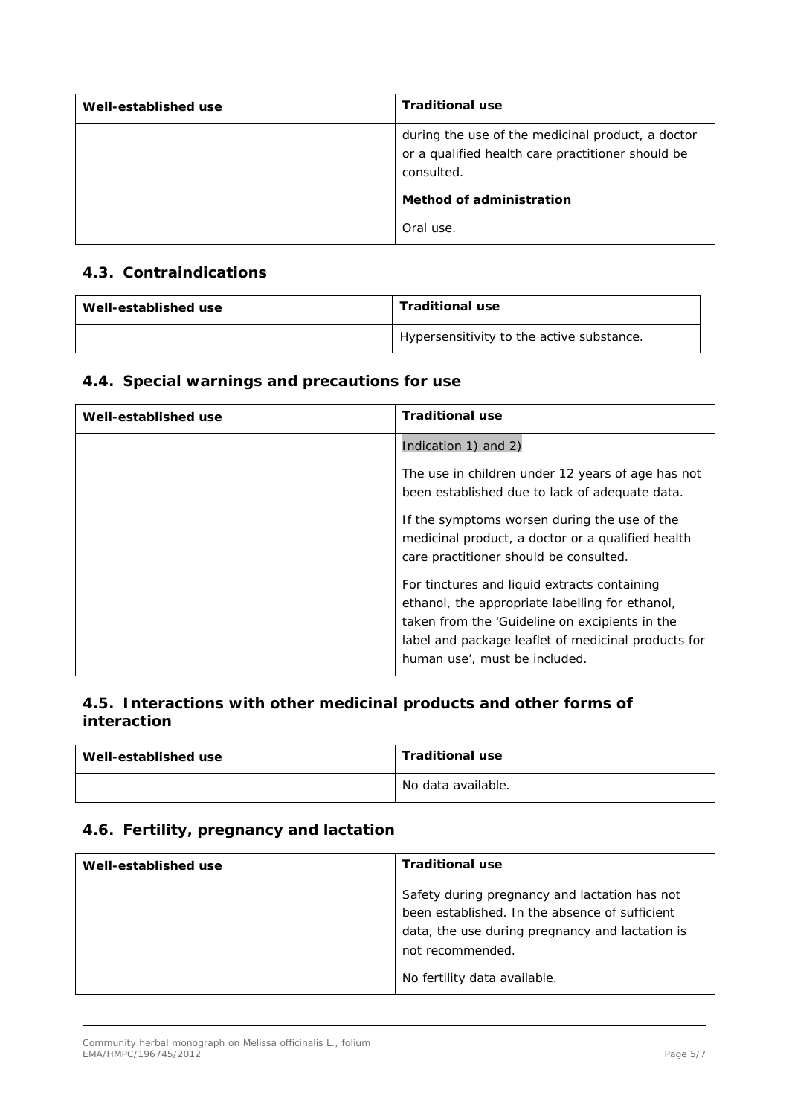| Well-established use | <b>Traditional use</b>                                                                                               |
|----------------------|----------------------------------------------------------------------------------------------------------------------|
|                      | during the use of the medicinal product, a doctor<br>or a qualified health care practitioner should be<br>consulted. |
|                      | Method of administration                                                                                             |
|                      | Oral use.                                                                                                            |

#### *4.3. Contraindications*

| Well-established use | <b>Traditional use</b>                    |
|----------------------|-------------------------------------------|
|                      | Hypersensitivity to the active substance. |

#### *4.4. Special warnings and precautions for use*

| Well-established use | <b>Traditional use</b>                                                                                                                                                                                                                    |
|----------------------|-------------------------------------------------------------------------------------------------------------------------------------------------------------------------------------------------------------------------------------------|
|                      | Indication 1) and 2)                                                                                                                                                                                                                      |
|                      | The use in children under 12 years of age has not<br>been established due to lack of adequate data.                                                                                                                                       |
|                      | If the symptoms worsen during the use of the<br>medicinal product, a doctor or a qualified health<br>care practitioner should be consulted.                                                                                               |
|                      | For tinctures and liquid extracts containing<br>ethanol, the appropriate labelling for ethanol,<br>taken from the 'Guideline on excipients in the<br>label and package leaflet of medicinal products for<br>human use', must be included. |

#### *4.5. Interactions with other medicinal products and other forms of interaction*

| Well-established use | <b>Traditional use</b> |
|----------------------|------------------------|
|                      | No data available.     |

### *4.6. Fertility, pregnancy and lactation*

| Well-established use | <b>Traditional use</b>                                                                                                                                                                                 |
|----------------------|--------------------------------------------------------------------------------------------------------------------------------------------------------------------------------------------------------|
|                      | Safety during pregnancy and lactation has not<br>been established. In the absence of sufficient<br>data, the use during pregnancy and lactation is<br>not recommended.<br>No fertility data available. |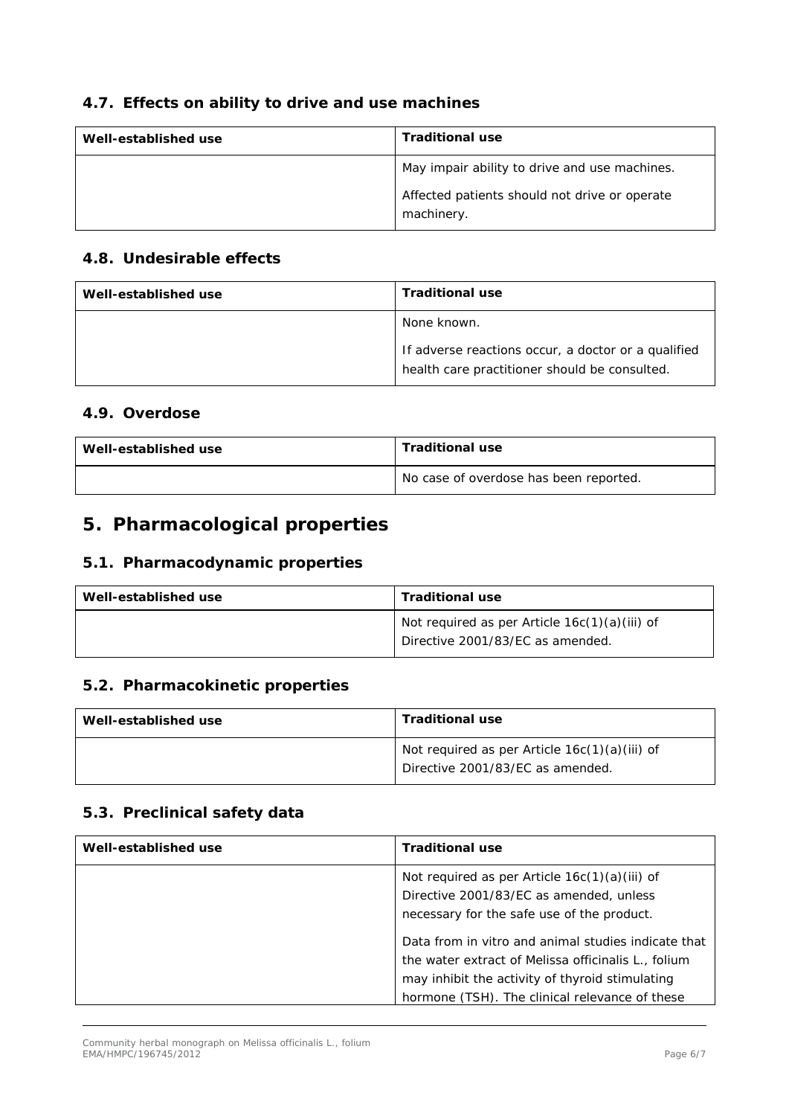### *4.7. Effects on ability to drive and use machines*

| Well-established use | <b>Traditional use</b>                                      |
|----------------------|-------------------------------------------------------------|
|                      | May impair ability to drive and use machines.               |
|                      | Affected patients should not drive or operate<br>machinery. |

#### *4.8. Undesirable effects*

| Well-established use | <b>Traditional use</b>                                                                               |
|----------------------|------------------------------------------------------------------------------------------------------|
|                      | None known.                                                                                          |
|                      | If adverse reactions occur, a doctor or a qualified<br>health care practitioner should be consulted. |

#### *4.9. Overdose*

| Well-established use | <b>Traditional use</b>                 |
|----------------------|----------------------------------------|
|                      | No case of overdose has been reported. |

## **5. Pharmacological properties**

#### *5.1. Pharmacodynamic properties*

| Well-established use | <b>Traditional use</b>                                                              |
|----------------------|-------------------------------------------------------------------------------------|
|                      | Not required as per Article $16c(1)(a)(iii)$ of<br>Directive 2001/83/EC as amended. |

#### *5.2. Pharmacokinetic properties*

| Well-established use | <b>Traditional use</b>                                                            |
|----------------------|-----------------------------------------------------------------------------------|
|                      | Not required as per Article 16c(1)(a)(iii) of<br>Directive 2001/83/EC as amended. |

#### *5.3. Preclinical safety data*

| Well-established use | <b>Traditional use</b>                                                                                                                   |
|----------------------|------------------------------------------------------------------------------------------------------------------------------------------|
|                      | Not required as per Article $16c(1)(a)(iii)$ of<br>Directive 2001/83/EC as amended, unless<br>necessary for the safe use of the product. |
|                      | Data from <i>in vitro</i> and animal studies indicate that                                                                               |
|                      | the water extract of <i>Melissa officinalis</i> L., folium                                                                               |
|                      | may inhibit the activity of thyroid stimulating                                                                                          |
|                      | hormone (TSH). The clinical relevance of these                                                                                           |